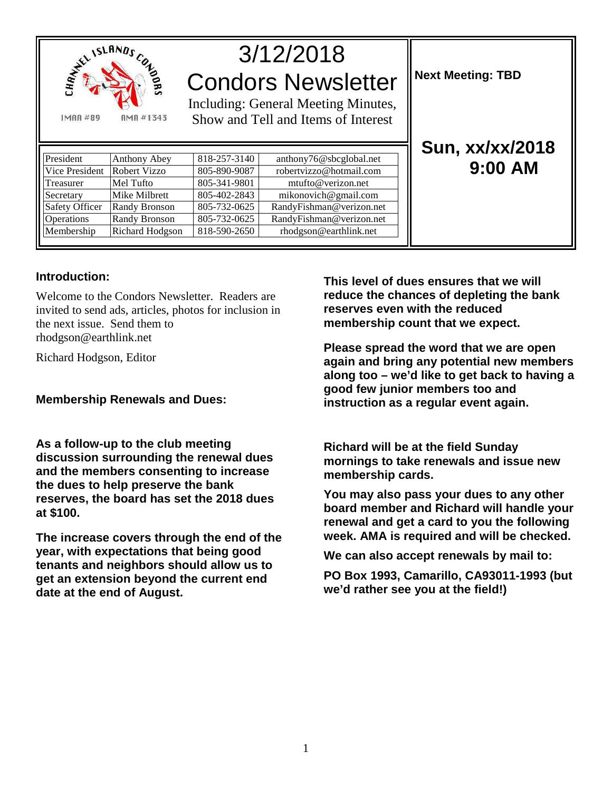

# 3/12/2018 Condors Newsletter

Including: General Meeting Minutes, Show and Tell and Items of Interest

| President      | Anthony Abey         | 818-257-3140 | anthony76@sbcglobal.net  |
|----------------|----------------------|--------------|--------------------------|
| Vice President | <b>Robert Vizzo</b>  | 805-890-9087 | robertvizzo@hotmail.com  |
| Treasurer      | Mel Tufto            | 805-341-9801 | mtufto@verizon.net       |
| Secretary      | Mike Milbrett        | 805-402-2843 | mikonovich@gmail.com     |
| Safety Officer | Randy Bronson        | 805-732-0625 | RandyFishman@verizon.net |
| Operations     | <b>Randy Bronson</b> | 805-732-0625 | RandyFishman@verizon.net |
| Membership     | Richard Hodgson      | 818-590-2650 | rhodgson@earthlink.net   |
|                |                      |              |                          |

**Next Meeting: TBD** 

## **Sun, xx/xx/2018 9:00 AM**

#### **Introduction:**

Welcome to the Condors Newsletter. Readers are invited to send ads, articles, photos for inclusion in the next issue. Send them to rhodgson@earthlink.net

Richard Hodgson, Editor

### **Membership Renewals and Dues:**

**As a follow-up to the club meeting discussion surrounding the renewal dues and the members consenting to increase the dues to help preserve the bank reserves, the board has set the 2018 dues at \$100.**

**The increase covers through the end of the year, with expectations that being good tenants and neighbors should allow us to get an extension beyond the current end date at the end of August.**

**This level of dues ensures that we will reduce the chances of depleting the bank reserves even with the reduced membership count that we expect.** 

**Please spread the word that we are open again and bring any potential new members along too – we'd like to get back to having a good few junior members too and instruction as a regular event again.**

**Richard will be at the field Sunday mornings to take renewals and issue new membership cards.** 

**You may also pass your dues to any other board member and Richard will handle your renewal and get a card to you the following week. AMA is required and will be checked.** 

**We can also accept renewals by mail to:** 

**PO Box 1993, Camarillo, CA93011-1993 (but we'd rather see you at the field!)**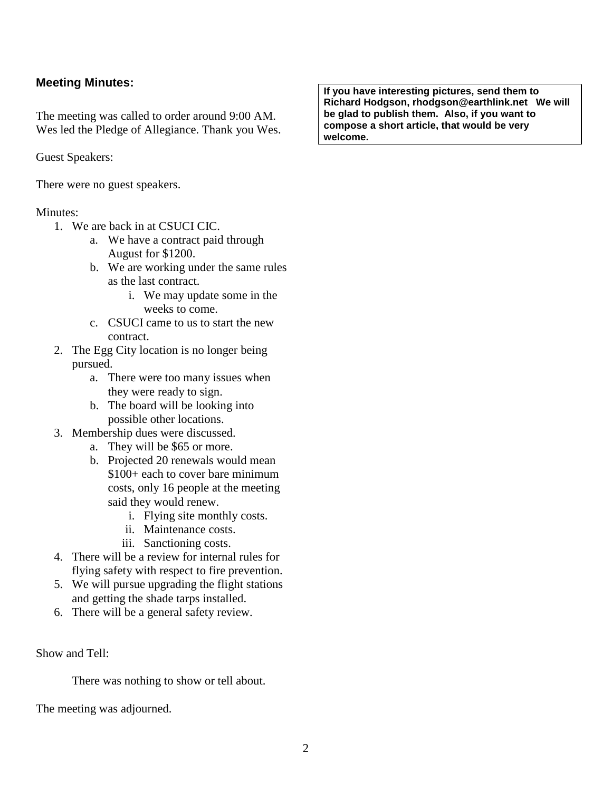### **Meeting Minutes:**

The meeting was called to order around 9:00 AM. Wes led the Pledge of Allegiance. Thank you Wes.

Guest Speakers:

There were no guest speakers.

#### Minutes:

- 1. We are back in at CSUCI CIC.
	- a. We have a contract paid through August for \$1200.
	- b. We are working under the same rules as the last contract.
		- i. We may update some in the weeks to come.
	- c. CSUCI came to us to start the new contract.
- 2. The Egg City location is no longer being pursued.
	- a. There were too many issues when they were ready to sign.
	- b. The board will be looking into possible other locations.
- 3. Membership dues were discussed.
	- a. They will be \$65 or more.
	- b. Projected 20 renewals would mean \$100+ each to cover bare minimum costs, only 16 people at the meeting said they would renew.
		- i. Flying site monthly costs.
		- ii. Maintenance costs.
		- iii. Sanctioning costs.
- 4. There will be a review for internal rules for flying safety with respect to fire prevention.
- 5. We will pursue upgrading the flight stations and getting the shade tarps installed.
- 6. There will be a general safety review.

Show and Tell:

There was nothing to show or tell about.

The meeting was adjourned.

**If you have interesting pictures, send them to Richard Hodgson, rhodgson@earthlink.net We will be glad to publish them. Also, if you want to compose a short article, that would be very welcome.**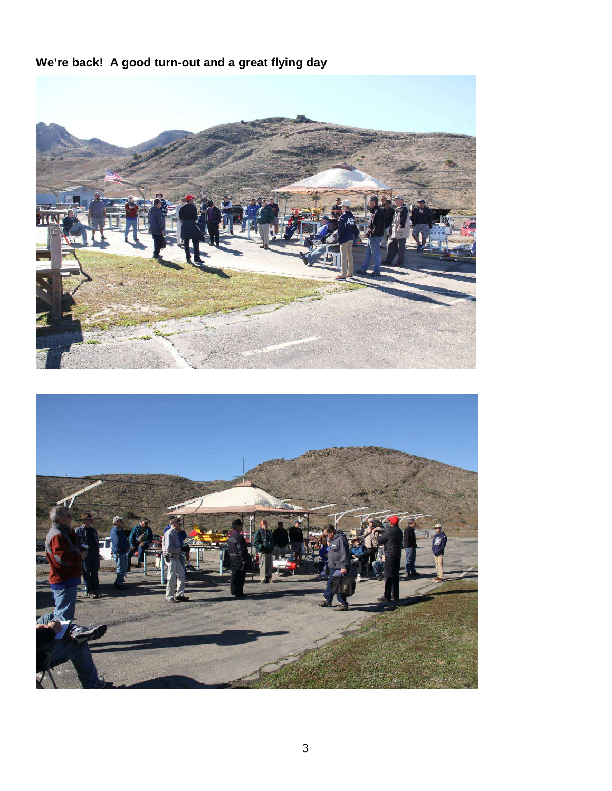**We're back! A good turn-out and a great flying day**

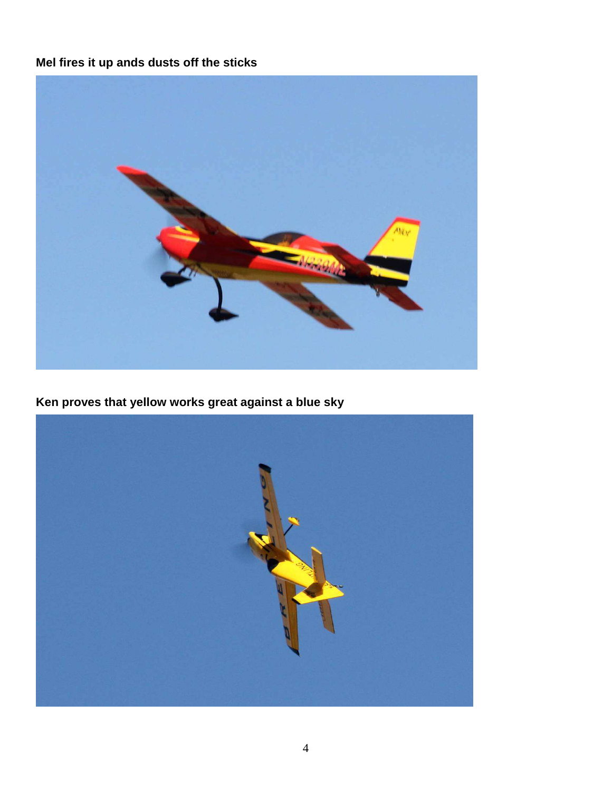## **Mel fires it up ands dusts off the sticks**



**Ken proves that yellow works great against a blue sky** 

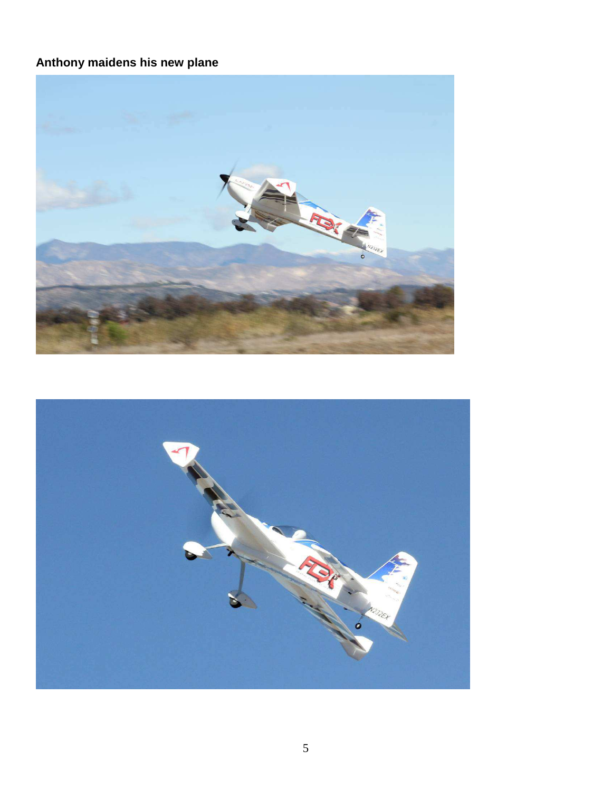## **Anthony maidens his new plane**